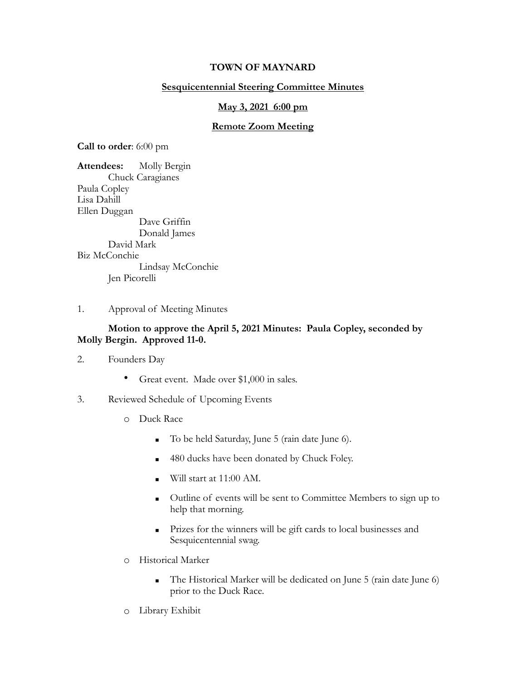## **TOWN OF MAYNARD**

## **Sesquicentennial Steering Committee Minutes**

#### **May 3, 2021 6:00 pm**

#### **Remote Zoom Meeting**

**Call to order**: 6:00 pm

**Attendees:** Molly Bergin Chuck Caragianes Paula Copley Lisa Dahill Ellen Duggan Dave Griffin Donald James David Mark Biz McConchie Lindsay McConchie Jen Picorelli

1. Approval of Meeting Minutes

## **Motion to approve the April 5, 2021 Minutes: Paula Copley, seconded by Molly Bergin. Approved 11-0.**

- 2. Founders Day
	- Great event. Made over \$1,000 in sales.
- 3. Reviewed Schedule of Upcoming Events
	- o Duck Race
		- To be held Saturday, June 5 (rain date June 6).
		- 480 ducks have been donated by Chuck Foley.
		- $\blacksquare$  Will start at 11:00 AM.
		- Outline of events will be sent to Committee Members to sign up to help that morning.
		- **Prizes for the winners will be gift cards to local businesses and** Sesquicentennial swag.
	- o Historical Marker
		- The Historical Marker will be dedicated on June 5 (rain date June 6) prior to the Duck Race.
	- o Library Exhibit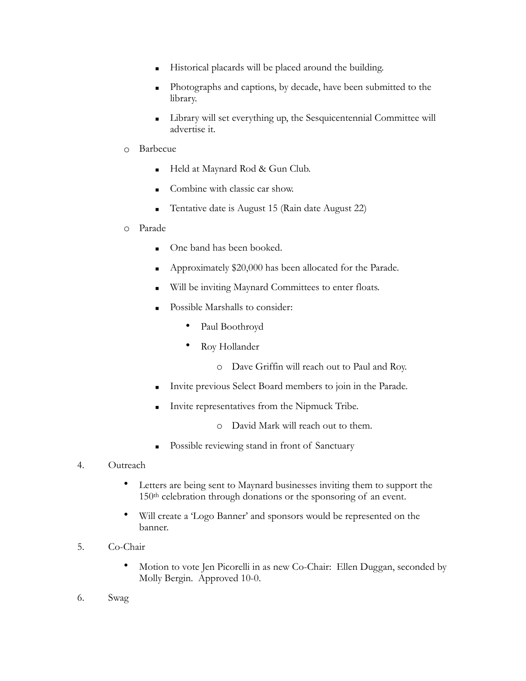- Historical placards will be placed around the building.
- Photographs and captions, by decade, have been submitted to the library.
- Library will set everything up, the Sesquicentennial Committee will advertise it.
- o Barbecue
	- Held at Maynard Rod & Gun Club.
	- Combine with classic car show.
	- **Tentative date is August 15 (Rain date August 22)**
- o Parade
	- One band has been booked.
	- Approximately \$20,000 has been allocated for the Parade.
	- Will be inviting Maynard Committees to enter floats.
	- Possible Marshalls to consider:
		- Paul Boothroyd
		- Roy Hollander
			- o Dave Griffin will reach out to Paul and Roy.
	- **Invite previous Select Board members to join in the Parade.**
	- Invite representatives from the Nipmuck Tribe.
		- o David Mark will reach out to them.
	- Possible reviewing stand in front of Sanctuary
- 4. Outreach
	- Letters are being sent to Maynard businesses inviting them to support the 150th celebration through donations or the sponsoring of an event.
	- Will create a 'Logo Banner' and sponsors would be represented on the banner.
- 5. Co-Chair
	- Motion to vote Jen Picorelli in as new Co-Chair: Ellen Duggan, seconded by Molly Bergin. Approved 10-0.
- 6. Swag